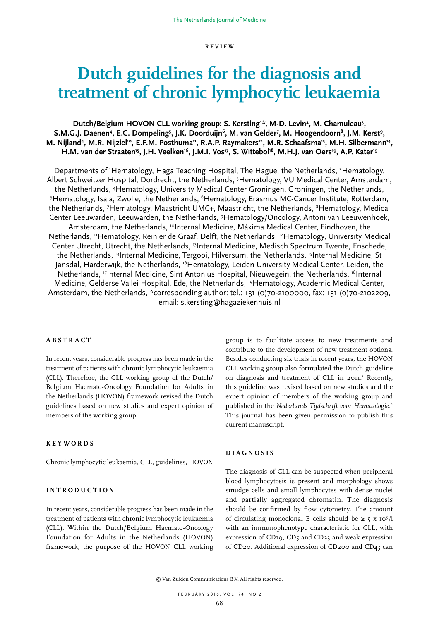# **Dutch guidelines for the diagnosis and treatment of chronic lymphocytic leukaemia**

Dutch/Belgium HOVON CLL working group: S. Kersting<sup>1:</sup>\*, M-D. Levin<sup>2</sup>, M. Chamuleau<sup>3</sup>, S.M.G.J. Daenen<sup>4</sup>, E.C. Dompeling<sup>5</sup>, J.K. Doorduijn<sup>6</sup>, M. van Gelder<sup>7</sup>, M. Hoogendoorn<sup>8</sup>, J.M. Kerst<sup>9</sup>, M. Nijland<sup>4</sup>, M.R. Nijziel<sup>10</sup>, E.F.M. Posthuma<sup>11</sup>, R.A.P. Raymakers<sup>12</sup>, M.R. Schaafsma<sup>13</sup>, M.H. Silbermann<sup>14</sup>, H.M. van der Straaten<sup>15</sup>, J.H. Veelken<sup>16</sup>, J.M.I. Vos<sup>17</sup>, S. Wittebol<sup>18</sup>, M.H.J. van Oers<sup>19</sup>, A.P. Kater<sup>19</sup>

Departments of 'Hematology, Haga Teaching Hospital, The Hague, the Netherlands, <sup>2</sup>Hematology, Albert Schweitzer Hospital, Dordrecht, the Netherlands, 3 Hematology, VU Medical Center, Amsterdam, the Netherlands, <sup>4</sup>Hematology, University Medical Center Groningen, Groningen, the Netherlands,<br>Hematology, Isala, Zwolle, the Netherlands, <sup>6</sup>Hematology, Frasmus MC-Cancer Institute, Rotterdam<sup>5</sup> Hematology, Isala, Zwolle, the Netherlands, <sup>6</sup>Hematology, Erasmus MC-Cancer Institute, Rotterdam, the Netherlands, <sup>7</sup>Hematology, Maastricht UMC+, Maastricht, the Netherlands, <sup>8</sup>Hematology, Medical Center Leeuwarden, Leeuwarden, the Netherlands, 9 Hematology/Oncology, Antoni van Leeuwenhoek, Amsterdam, the Netherlands, <sup>10</sup>Internal Medicine, Máxima Medical Center, Eindhoven, the Netherlands, "Hematology, Reinier de Graaf, Delft, the Netherlands, <sup>12</sup>Hematology, University Medical Center Utrecht, Utrecht, the Netherlands, 13Internal Medicine, Medisch Spectrum Twente, Enschede, the Netherlands, 14Internal Medicine, Tergooi, Hilversum, the Netherlands, 15Internal Medicine, St Jansdal, Harderwijk, the Netherlands, <sup>16</sup>Hematology, Leiden University Medical Center, Leiden, the Netherlands, 17Internal Medicine, Sint Antonius Hospital, Nieuwegein, the Netherlands, 18Internal Medicine, Gelderse Vallei Hospital, Ede, the Netherlands, 19Hematology, Academic Medical Center, Amsterdam, the Netherlands, \*corresponding author: tel.: +31 (0)70-2100000, fax: +31 (0)70-2102209, email: s.kersting@hagaziekenhuis.nl

#### **ABSTRACT**

In recent years, considerable progress has been made in the treatment of patients with chronic lymphocytic leukaemia (CLL). Therefore, the CLL working group of the Dutch/ Belgium Haemato-Oncology Foundation for Adults in the Netherlands (HOVON) framework revised the Dutch guidelines based on new studies and expert opinion of members of the working group.

#### **KEYWORDS**

Chronic lymphocytic leukaemia, CLL, guidelines, HOVON

# **INTRODUCTION**

In recent years, considerable progress has been made in the treatment of patients with chronic lymphocytic leukaemia (CLL). Within the Dutch/Belgium Haemato-Oncology Foundation for Adults in the Netherlands (HOVON) framework, the purpose of the HOVON CLL working group is to facilitate access to new treatments and contribute to the development of new treatment options. Besides conducting six trials in recent years, the HOVON CLL working group also formulated the Dutch guideline on diagnosis and treatment of CLL in 2011.<sup>1</sup> Recently, this guideline was revised based on new studies and the expert opinion of members of the working group and published in the *Nederlands Tijdschrift voor Hematologie*. 2 This journal has been given permission to publish this current manuscript.

#### **D I A G N O S I S**

The diagnosis of CLL can be suspected when peripheral blood lymphocytosis is present and morphology shows smudge cells and small lymphocytes with dense nuclei and partially aggregated chromatin. The diagnosis should be confirmed by flow cytometry. The amount of circulating monoclonal B cells should be  $\geq 5 \times 10^9/l$ with an immunophenotype characteristic for CLL, with expression of CD19, CD5 and CD23 and weak expression of CD20. Additional expression of CD200 and CD43 can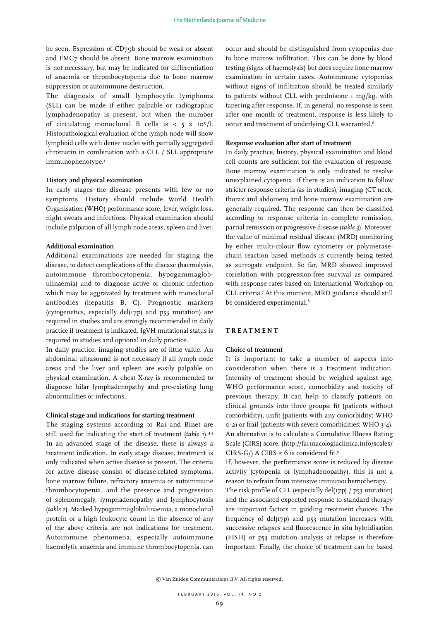be seen. Expression of CD79b should be weak or absent and FMC7 should be absent. Bone marrow examination is not necessary, but may be indicated for differentiation of anaemia or thrombocytopenia due to bone marrow suppression or autoimmune destruction.

The diagnosis of small lymphocytic lymphoma (SLL) can be made if either palpable or radiographic lymphadenopathy is present, but when the number of circulating monoclonal B cells is  $<$  5 x 10<sup>9</sup>/l. Histopathological evaluation of the lymph node will show lymphoid cells with dense nuclei with partially aggregated chromatin in combination with a CLL / SLL appropriate immunophenotype.3

#### **History and physical examination**

In early stages the disease presents with few or no symptoms. History should include World Health Organisation (WHO) performance score, fever, weight loss, night sweats and infections. Physical examination should include palpation of all lymph node areas, spleen and liver.

#### **Additional examination**

Additional examinations are needed for staging the disease, to detect complications of the disease (haemolysis, autoimmune thrombocytopenia, hypogammaglobulinaemia) and to diagnose active or chronic infection which may be aggravated by treatment with monoclonal antibodies (hepatitis B, C). Prognostic markers (cytogenetics, especially del(17p) and p53 mutation) are required in studies and are strongly recommended in daily practice if treatment is indicated. IgVH mutational status is required in studies and optional in daily practice.

In daily practice, imaging studies are of little value. An abdominal ultrasound is not necessary if all lymph node areas and the liver and spleen are easily palpable on physical examination. A chest X-ray is recommended to diagnose hilar lymphadenopathy and pre-existing lung abnormalities or infections.

#### **Clinical stage and indications for starting treatment**

The staging systems according to Rai and Binet are still used for indicating the start of treatment (*table 1*).<sup>4,5</sup> In an advanced stage of the disease, there is always a treatment indication. In early stage disease, treatment is only indicated when active disease is present. The criteria for active disease consist of disease-related symptoms, bone marrow failure, refractory anaemia or autoimmune thrombocytopenia, and the presence and progression of splenomegaly, lymphadenopathy and lymphocytosis (*table 2*). Marked hypogammaglobulinaemia, a monoclonal protein or a high leukocyte count in the absence of any of the above criteria are not indications for treatment. Autoimmune phenomena, especially autoimmune haemolytic anaemia and immune thrombocytopenia, can occur and should be distinguished from cytopenias due to bone marrow infiltration. This can be done by blood testing (signs of haemolysis) but does require bone marrow examination in certain cases. Autoimmune cytopenias without signs of infiltration should be treated similarly to patients without CLL with prednisone 1 mg/kg, with tapering after response. If, in general, no response is seen after one month of treatment, response is less likely to occur and treatment of underlying CLL warranted.<sup>6</sup>

#### **Response evaluation after start of treatment**

In daily practice, history, physical examination and blood cell counts are sufficient for the evaluation of response. Bone marrow examination is only indicated to resolve unexplained cytopenia. If there is an indication to follow stricter response criteria (as in studies), imaging (CT neck, thorax and abdomen) and bone marrow examination are generally required. The response can then be classified according to response criteria in complete remission, partial remission or progressive disease (*table 3*). Moreover, the value of minimal residual disease (MRD) monitoring by either multi-colour flow cytometry or polymerasechain reaction based methods is currently being tested as surrogate endpoint. So far, MRD showed improved correlation with progression-free survival as compared with response rates based on International Workshop on CLL criteria.7 At this moment, MRD guidance should still be considered experimental.<sup>8</sup>

# **TREATMENT**

#### **Choice of treatment**

It is important to take a number of aspects into consideration when there is a treatment indication. Intensity of treatment should be weighed against age, WHO performance score, comorbidity and toxicity of previous therapy. It can help to classify patients on clinical grounds into three groups: fit (patients without comorbidity), unfit (patients with any comorbidity; WHO 0-2) or frail (patients with severe comorbidities; WHO 3-4). An alternative is to calculate a Cumulative Illness Rating Scale (CIRS) score. (http://farmacologiaclinica.info/scales/ CIRS-G/) A CIRS  $\leq$  6 is considered fit.<sup>9</sup>

If, however, the performance score is reduced by disease activity (cytopenia or lymphadenopathy), this is not a reason to refrain from intensive immunochemotherapy.

The risk profile of CLL (especially del(17p) / p53 mutation) and the associated expected response to standard therapy are important factors in guiding treatment choices. The frequency of del(17p) and p53 mutation increases with successive relapses and fluorescence in situ hybridisation (FISH) or p53 mutation analysis at relapse is therefore important. Finally, the choice of treatment can be based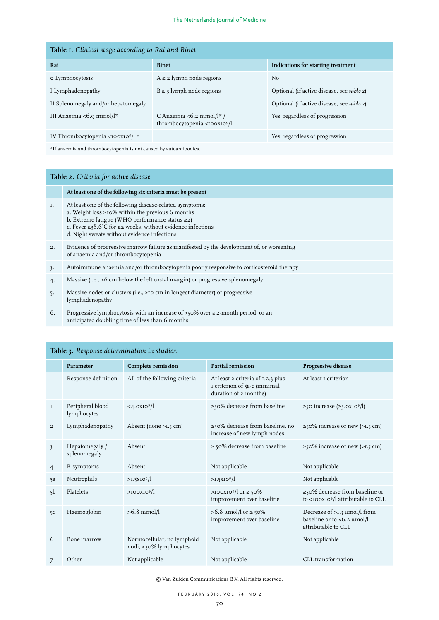| Table I. Clinical stage according to Rai and Binet |                                                                      |                                           |  |  |  |
|----------------------------------------------------|----------------------------------------------------------------------|-------------------------------------------|--|--|--|
| Rai                                                | <b>Binet</b>                                                         | Indications for starting treatment        |  |  |  |
| o Lymphocytosis                                    | $A \leq 2$ lymph node regions                                        | N <sub>o</sub>                            |  |  |  |
| I Lymphadenopathy                                  | $B \ge 3$ lymph node regions                                         | Optional (if active disease, see table 2) |  |  |  |
| II Splenomegaly and/or hepatomegaly                |                                                                      | Optional (if active disease, see table 2) |  |  |  |
| III Anaemia <6.9 mmol/l*                           | C Anaemia <6.2 mmol/l* /<br>thrombocytopenia <100x10 <sup>9</sup> /l | Yes, regardless of progression            |  |  |  |
| IV Thrombocytopenia <100X109/l *                   |                                                                      | Yes, regardless of progression            |  |  |  |

 $\mathrm{^{\star} If}$  anaemia and thrombocytopenia is not caused by autoantibodies.

# **Table 2.** *Criteria for active disease*

|       | At least one of the following six criteria must be present                                                                                                                                                                                                                                         |
|-------|----------------------------------------------------------------------------------------------------------------------------------------------------------------------------------------------------------------------------------------------------------------------------------------------------|
| I.    | At least one of the following disease-related symptoms:<br>a. Weight loss $\geq$ 10% within the previous 6 months<br>b. Extreme fatigue (WHO performance status $\geq$ 2)<br>c. Fever $\geq$ 38.6°C for $\geq$ 2 weeks, without evidence infections<br>d. Night sweats without evidence infections |
| 2.    | Evidence of progressive marrow failure as manifested by the development of, or worsening<br>of anaemia and/or thrombocytopenia                                                                                                                                                                     |
| 3.    | Autoimmune anaemia and/or thrombocytopenia poorly responsive to corticosteroid therapy                                                                                                                                                                                                             |
| 4.    | Massive (i.e., >6 cm below the left costal margin) or progressive splenomegaly                                                                                                                                                                                                                     |
| $5 -$ | Massive nodes or clusters (i.e., >10 cm in longest diameter) or progressive<br>lymphadenopathy                                                                                                                                                                                                     |
| 6.    | Progressive lymphocytosis with an increase of >50% over a 2-month period, or an<br>anticipated doubling time of less than 6 months                                                                                                                                                                 |

|                         | Parameter                       | Complete remission                                   | <b>Partial remission</b>                                                                   | <b>Progressive disease</b>                                                                 |
|-------------------------|---------------------------------|------------------------------------------------------|--------------------------------------------------------------------------------------------|--------------------------------------------------------------------------------------------|
|                         | Response definition             | All of the following criteria                        | At least 2 criteria of 1,2,3 plus<br>I criterion of 5a-c (minimal<br>duration of 2 months) | At least <i>I</i> criterion                                                                |
| <b>I</b>                | Peripheral blood<br>lymphocytes | $<4.0XIO^9/l$                                        | ≥50% decrease from baseline                                                                | $\ge$ 50 increase ( $\ge$ 5.0XIO <sup>9</sup> /l)                                          |
| $\overline{a}$          | Lymphadenopathy                 | Absent (none $>1.5$ cm)                              | ≥50% decrease from baseline, no<br>increase of new lymph nodes                             | $\geq$ 50% increase or new ( $>1.5$ cm)                                                    |
| $\overline{\mathbf{3}}$ | Hepatomegaly /<br>splenomegaly  | Absent                                               | $\ge$ 50% decrease from baseline                                                           | $\geq$ 50% increase or new (>1.5 cm)                                                       |
| $\overline{4}$          | B-symptoms                      | Absent                                               | Not applicable                                                                             | Not applicable                                                                             |
| 5a                      | Neutrophils                     | >1.5XIO <sup>9</sup> /l                              | $>1.5XIO^9/l$                                                                              | Not applicable                                                                             |
| 5 <sub>b</sub>          | Platelets                       | $>$ IOOXIO <sup>9</sup> /l                           | >100X10 <sup>9</sup> /l or $\geq$ 50%<br>improvement over baseline                         | ≥50% decrease from baseline or<br>to <iooxio<sup>9/l attributable to CLL</iooxio<sup>      |
| 5 <sup>c</sup>          | Haemoglobin                     | $>6.8$ mmol/l                                        | >6.8 µmol/l or ≥ 50%<br>improvement over baseline                                          | Decrease of $>1.3 \mu$ mol/l from<br>baseline or to $<$ 6.2 µmol/l<br>attributable to CLL. |
| 6                       | Bone marrow                     | Normocellular, no lymphoid<br>nodi, <30% lymphocytes | Not applicable                                                                             | Not applicable                                                                             |
| 7                       | Other                           | Not applicable                                       | Not applicable                                                                             | CLL transformation                                                                         |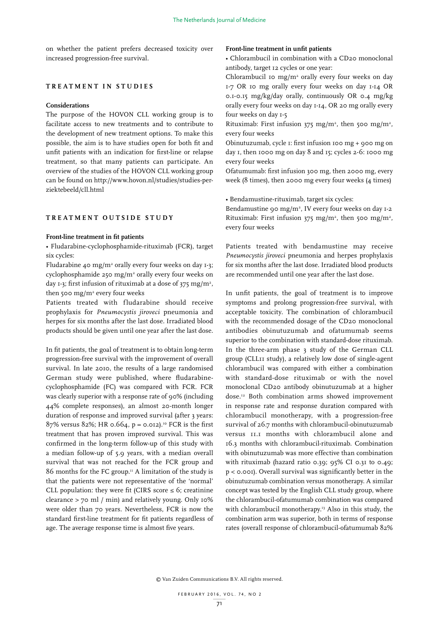on whether the patient prefers decreased toxicity over increased progression-free survival.

#### **TREATMENT IN STUDIES**

#### **Considerations**

The purpose of the HOVON CLL working group is to facilitate access to new treatments and to contribute to the development of new treatment options. To make this possible, the aim is to have studies open for both fit and unfit patients with an indication for first-line or relapse treatment, so that many patients can participate. An overview of the studies of the HOVON CLL working group can be found on http://www.hovon.nl/studies/studies-perziektebeeld/cll.html

# **TREATMENT OUTSIDE STUDY**

#### **Front-line treatment in fit patients**

• Fludarabine-cyclophosphamide-rituximab (FCR), target six cycles:

Fludarabine 40 mg/m<sup>2</sup> orally every four weeks on day  $1-3$ ; cyclophosphamide  $250 \text{ mg/m}^2$  orally every four weeks on day 1-3; first infusion of rituximab at a dose of 375 mg/m<sup>2</sup>, then 500 mg/m2 every four weeks

Patients treated with fludarabine should receive prophylaxis for *Pneumocystis jiroveci* pneumonia and herpes for six months after the last dose. Irradiated blood products should be given until one year after the last dose.

In fit patients, the goal of treatment is to obtain long-term progression-free survival with the improvement of overall survival. In late 2010, the results of a large randomised German study were published, where fludarabinecyclophosphamide (FC) was compared with FCR. FCR was clearly superior with a response rate of 90% (including 44% complete responses), an almost 20-month longer duration of response and improved survival (after 3 years: 87% versus 82%; HR 0.664,  $p = 0.012$ .<sup>10</sup> FCR is the first treatment that has proven improved survival. This was confirmed in the long-term follow-up of this study with a median follow-up of 5.9 years, with a median overall survival that was not reached for the FCR group and 86 months for the FC group.<sup>11</sup> A limitation of the study is that the patients were not representative of the 'normal' CLL population: they were fit (CIRS score  $\leq$  6; creatinine clearance > 70 ml / min) and relatively young. Only 10% were older than 70 years. Nevertheless, FCR is now the standard first-line treatment for fit patients regardless of age. The average response time is almost five years.

#### **Front-line treatment in unfit patients**

• Chlorambucil in combination with a CD20 monoclonal antibody, target 12 cycles or one year:

Chlorambucil 10  $mg/m^2$  orally every four weeks on day 1-7 OR 10 mg orally every four weeks on day 1-14 OR 0.1-0.15 mg/kg/day orally, continuously OR 0.4 mg/kg orally every four weeks on day 1-14, OR 20 mg orally every four weeks on day 1-5

Rituximab: First infusion  $375 \text{ mg/m}^2$ , then 500 mg/m<sup>2</sup>, every four weeks

Obinutuzumab, cycle 1: first infusion 100 mg + 900 mg on day 1, then 1000 mg on day 8 and 15; cycles 2-6: 1000 mg every four weeks

Ofatumumab: first infusion 300 mg, then 2000 mg, every week (8 times), then 2000 mg every four weeks (4 times)

• Bendamustine-rituximab, target six cycles:

Bendamustine 90 mg/m<sup>2</sup>, IV every four weeks on day 1-2 Rituximab: First infusion  $375 \text{ mg/m}^2$ , then 500 mg/m<sup>2</sup>, every four weeks

Patients treated with bendamustine may receive *Pneumocystis jiroveci* pneumonia and herpes prophylaxis for six months after the last dose. Irradiated blood products are recommended until one year after the last dose.

In unfit patients, the goal of treatment is to improve symptoms and prolong progression-free survival, with acceptable toxicity. The combination of chlorambucil with the recommended dosage of the CD20 monoclonal antibodies obinutuzumab and ofatumumab seems superior to the combination with standard-dose rituximab. In the three-arm phase 3 study of the German CLL group (CLL11 study), a relatively low dose of single-agent chlorambucil was compared with either a combination with standard-dose rituximab or with the novel monoclonal CD20 antibody obinutuzumab at a higher dose.12 Both combination arms showed improvement in response rate and response duration compared with chlorambucil monotherapy, with a progression-free survival of 26.7 months with chlorambucil-obinutuzumab versus 11.1 months with chlorambucil alone and 16.3 months with chlorambucil-rituximab. Combination with obinutuzumab was more effective than combination with rituximab (hazard ratio 0.39; 95% CI 0.31 to 0.49; p < 0.001). Overall survival was significantly better in the obinutuzumab combination versus monotherapy. A similar concept was tested by the English CLL study group, where the chlorambucil-ofatumumab combination was compared with chlorambucil monotherapy.<sup>13</sup> Also in this study, the combination arm was superior, both in terms of response rates (overall response of chlorambucil-ofatumumab 82%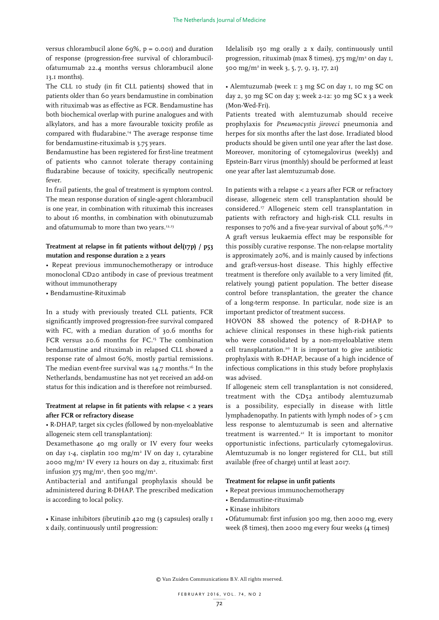versus chlorambucil alone 69%,  $p = 0.001$  and duration of response (progression-free survival of chlorambucilofatumumab 22.4 months versus chlorambucil alone 13.1 months).

The CLL 10 study (in fit CLL patients) showed that in patients older than 60 years bendamustine in combination with rituximab was as effective as FCR. Bendamustine has both biochemical overlap with purine analogues and with alkylators, and has a more favourable toxicity profile as compared with fludarabine.<sup>14</sup> The average response time for bendamustine-rituximab is 3.75 years.

Bendamustine has been registered for first-line treatment of patients who cannot tolerate therapy containing fludarabine because of toxicity, specifically neutropenic fever.

In frail patients, the goal of treatment is symptom control. The mean response duration of single-agent chlorambucil is one year, in combination with rituximab this increases to about 16 months, in combination with obinutuzumab and ofatumumab to more than two years.<sup>12,13</sup>

# **Treatment at relapse in fit patients without del(17p) / p53 mutation and response duration ≥ 2 years**

• Repeat previous immunochemotherapy or introduce monoclonal CD20 antibody in case of previous treatment without immunotherapy

• Bendamustine-Rituximab

In a study with previously treated CLL patients, FCR significantly improved progression-free survival compared with FC, with a median duration of 30.6 months for FCR versus 20.6 months for FC.<sup>15</sup> The combination bendamustine and rituximab in relapsed CLL showed a response rate of almost 60%, mostly partial remissions. The median event-free survival was 14.7 months.<sup>16</sup> In the Netherlands, bendamustine has not yet received an add-on status for this indication and is therefore not reimbursed.

# **Treatment at relapse in fit patients with relapse < 2 years after FCR or refractory disease**

• R-DHAP, target six cycles (followed by non-myeloablative allogeneic stem cell transplantation):

Dexamethasone 40 mg orally or IV every four weeks on day 1-4, cisplatin 100 mg/m2 IV on day 1, cytarabine 2000 mg/m2 IV every 12 hours on day 2, rituximab: first infusion 375 mg/m<sup>2</sup>, then 500 mg/m<sup>2</sup>.

Antibacterial and antifungal prophylaxis should be administered during R-DHAP. The prescribed medication is according to local policy.

• Kinase inhibitors (ibrutinib 420 mg (3 capsules) orally 1 x daily, continuously until progression:

Idelalisib 150 mg orally 2 x daily, continuously until progression, rituximab (max 8 times),  $375 \text{ mg/m}^2$  on day 1, 500 mg/m2 in week 3, 5, 7, 9, 13, 17, 21)

• Alemtuzumab (week 1: 3 mg SC on day 1, 10 mg SC on day 2, 30 mg SC on day 3; week 2-12: 30 mg SC x 3 a week (Mon-Wed-Fri).

Patients treated with alemtuzumab should receive prophylaxis for *Pneumocystis jiroveci* pneumonia and herpes for six months after the last dose. Irradiated blood products should be given until one year after the last dose. Moreover, monitoring of cytomegalovirus (weekly) and Epstein-Barr virus (monthly) should be performed at least one year after last alemtuzumab dose.

In patients with a relapse < 2 years after FCR or refractory disease, allogeneic stem cell transplantation should be considered.17 Allogeneic stem cell transplantation in patients with refractory and high-risk CLL results in responses to 70% and a five-year survival of about 50%.18,19 A graft versus leukaemia effect may be responsible for this possibly curative response. The non-relapse mortality is approximately 20%, and is mainly caused by infections and graft-versus-host disease. This highly effective treatment is therefore only available to a very limited (fit, relatively young) patient population. The better disease control before transplantation, the greater the chance of a long-term response. In particular, node size is an important predictor of treatment success.

HOVON 88 showed the potency of R-DHAP to achieve clinical responses in these high-risk patients who were consolidated by a non-myeloablative stem cell transplantation.20 It is important to give antibiotic prophylaxis with R-DHAP, because of a high incidence of infectious complications in this study before prophylaxis was advised.

If allogeneic stem cell transplantation is not considered, treatment with the CD52 antibody alemtuzumab is a possibility, especially in disease with little lymphadenopathy. In patients with lymph nodes of > 5 cm less response to alemtuzumab is seen and alternative treatment is warrented. $21$  It is important to monitor opportunistic infections, particularly cytomegalovirus. Alemtuzumab is no longer registered for CLL, but still available (free of charge) until at least 2017.

# **Treatment for relapse in unfit patients**

- Repeat previous immunochemotherapy
- Bendamustine-rituximab
- Kinase inhibitors

• Ofatumumab: first infusion 300 mg, then 2000 mg, every week (8 times), then 2000 mg every four weeks (4 times)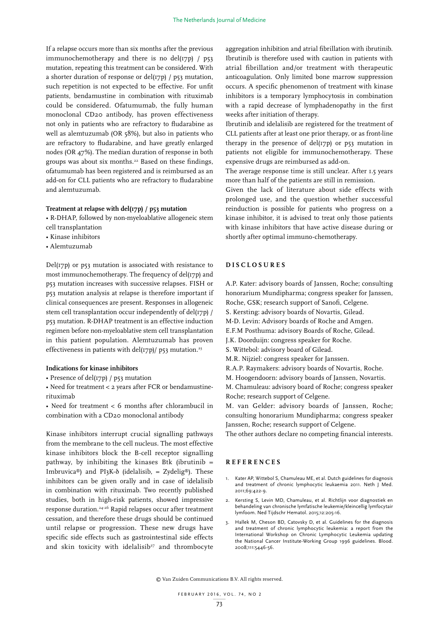If a relapse occurs more than six months after the previous immunochemotherapy and there is no del( $17p$ ) /  $p53$ mutation, repeating this treatment can be considered. With a shorter duration of response or del(17p) / p53 mutation, such repetition is not expected to be effective. For unfit patients, bendamustine in combination with rituximab could be considered. Ofatumumab, the fully human monoclonal CD20 antibody, has proven effectiveness not only in patients who are refractory to fludarabine as well as alemtuzumab (OR 58%), but also in patients who are refractory to fludarabine, and have greatly enlarged nodes (OR 47%). The median duration of response in both groups was about six months.<sup>22</sup> Based on these findings, ofatumumab has been registered and is reimbursed as an add-on for CLL patients who are refractory to fludarabine and alemtuzumab.

# **Treatment at relapse with del(17p) / p53 mutation**

- R-DHAP, followed by non-myeloablative allogeneic stem cell transplantation
- Kinase inhibitors
- Alemtuzumab
- 

Del(17p) or p53 mutation is associated with resistance to most immunochemotherapy. The frequency of del(17p) and p53 mutation increases with successive relapses. FISH or p53 mutation analysis at relapse is therefore important if clinical consequences are present. Responses in allogeneic stem cell transplantation occur independently of del(17p) / p53 mutation. R-DHAP treatment is an effective induction regimen before non-myeloablative stem cell transplantation in this patient population. Alemtuzumab has proven effectiveness in patients with del(17p)/ p53 mutation.<sup>23</sup>

#### **Indications for kinase inhibitors**

- Presence of del(17p) / p53 mutation
- Need for treatment < 2 years after FCR or bendamustinerituximab
- Need for treatment < 6 months after chlorambucil in combination with a CD20 monoclonal antibody

Kinase inhibitors interrupt crucial signalling pathways from the membrane to the cell nucleus. The most effective kinase inhibitors block the B-cell receptor signalling pathway, by inhibiting the kinases Btk (ibrutinib  $=$ Imbruvica®) and PI3K- $\delta$  (idelalisib, = Zydelig®). These inhibitors can be given orally and in case of idelalisib in combination with rituximab. Two recently published studies, both in high-risk patients, showed impressive response duration.24-26 Rapid relapses occur after treatment cessation, and therefore these drugs should be continued until relapse or progression. These new drugs have specific side effects such as gastrointestinal side effects and skin toxicity with idelalisib<sup>27</sup> and thrombocyte

aggregation inhibition and atrial fibrillation with ibrutinib. Ibrutinib is therefore used with caution in patients with atrial fibrillation and/or treatment with therapeutic anticoagulation. Only limited bone marrow suppression occurs. A specific phenomenon of treatment with kinase inhibitors is a temporary lymphocytosis in combination with a rapid decrease of lymphadenopathy in the first weeks after initiation of therapy.

Ibrutinib and idelalisib are registered for the treatment of CLL patients after at least one prior therapy, or as front-line therapy in the presence of  $del(T7p)$  or p53 mutation in patients not eligible for immunochemotherapy. These expensive drugs are reimbursed as add-on.

The average response time is still unclear. After 1.5 years more than half of the patients are still in remission.

Given the lack of literature about side effects with prolonged use, and the question whether successful reinduction is possible for patients who progress on a kinase inhibitor, it is advised to treat only those patients with kinase inhibitors that have active disease during or shortly after optimal immuno-chemotherapy.

# **DISCLOSURES**

A.P. Kater: advisory boards of Janssen, Roche; consulting honorarium Mundipharma; congress speaker for Janssen,

- Roche, GSK; research support of Sanofi, Celgene.
- S. Kersting: advisory boards of Novartis, Gilead.
- M-D. Levin: Advisory boards of Roche and Amgen.
- E.F.M Posthuma: advisory Boards of Roche, Gilead.
- J.K. Doorduijn: congress speaker for Roche.
- S. Wittebol: advisory board of Gilead.
- M.R. Nijziel: congress speaker for Janssen.
- R.A.P. Raymakers: advisory boards of Novartis, Roche.
- M. Hoogendoorn: advisory boards of Janssen, Novartis.

M. Chamuleau: advisory board of Roche; congress speaker Roche; research support of Celgene.

M. van Gelder: advisory boards of Janssen, Roche; consulting honorarium Mundipharma; congress speaker Janssen, Roche; research support of Celgene.

The other authors declare no competing financial interests.

# **REFERENCES**

- Kater AP, Wittebol S, Chamuleau ME, et al. Dutch guidelines for diagnosis and treatment of chronic lymphocytic leukaemia 2011. Neth J Med. 2011;69:422-9.
- 2. Kersting S, Levin MD, Chamuleau, et al. Richtlijn voor diagnostiek en behandeling van chronische lymfatische leukemie/kleincellig lymfocytair lymfoom. Ned Tijdschr Hematol. 2015;12:205-16.
- 3. Hallek M, Cheson BD, Catovsky D, et al. Guidelines for the diagnosis and treatment of chronic lymphocytic leukemia: a report from the International Workshop on Chronic Lymphocytic Leukemia updating the National Cancer Institute-Working Group 1996 guidelines. Blood. 2008;111:5446-56.